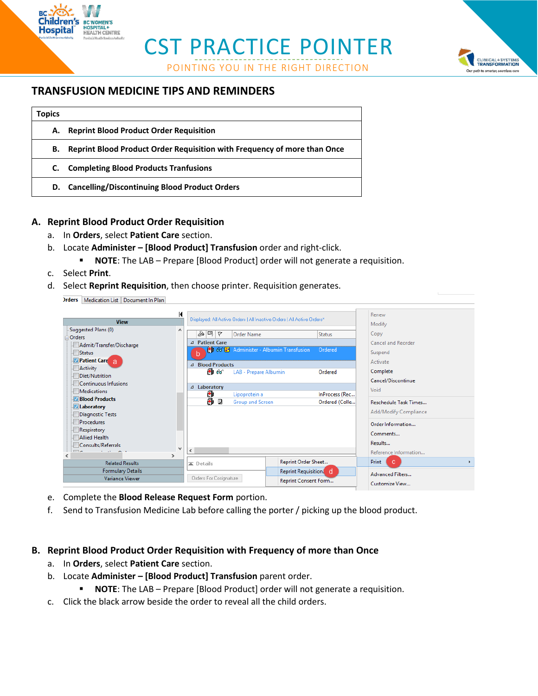CST PRACTICE POINTER

POINTING YOU IN THE RIGHT DIRECTION



## **TRANSFUSION MEDICINE TIPS AND REMINDERS**

| <b>Topics</b> |                                                                          |
|---------------|--------------------------------------------------------------------------|
| А.            | <b>Reprint Blood Product Order Requisition</b>                           |
| В.            | Reprint Blood Product Order Requisition with Frequency of more than Once |
| C.            | <b>Completing Blood Products Tranfusions</b>                             |
| D.            | <b>Cancelling/Discontinuing Blood Product Orders</b>                     |

### **A. Reprint Blood Product Order Requisition**

- a. In **Orders**, select **Patient Care** section.
- b. Locate **Administer – [Blood Product] Transfusion** order and right-click.
	- **NOTE**: The LAB Prepare [Blood Product] order will not generate a requisition.
- c. Select **Print**.

**BC WOMEN'S OSPITAL+**<br>EALTH CENTRE

d. Select **Reprint Requisition**, then choose printer. Requisition generates.

**Orders** Medication List Document In Plan

| <b>View</b>                                          | К            |                                               | Displayed: All Active Orders   All Inactive Orders   All Active Orders* |                                  | Renew<br>Modify         |  |  |  |
|------------------------------------------------------|--------------|-----------------------------------------------|-------------------------------------------------------------------------|----------------------------------|-------------------------|--|--|--|
| Suggested Plans (0)<br>Orders                        | ۸            | ৯∣¤৷∀                                         | Order Name                                                              | <b>Status</b>                    | Copy                    |  |  |  |
| Admit/Transfer/Discharge                             |              | ⊿ Patient Care                                |                                                                         |                                  | Cancel and Reorder      |  |  |  |
| Status                                               |              |                                               | <b>ED</b> 66 <b>E</b> Administer - Albumin Transfusion                  | Ordered                          | Suspend                 |  |  |  |
| <b>Patient Care</b>                                  |              | ⊿ Blood Products                              |                                                                         |                                  | Activate                |  |  |  |
| Activity<br>Diet/Nutrition                           |              | தி ை                                          | LAB - Prepare Albumin                                                   | Ordered                          | Complete                |  |  |  |
| <b>Continuous Infusions</b>                          |              |                                               |                                                                         |                                  | Cancel/Discontinue      |  |  |  |
| <b>Medications</b>                                   |              | ⊿ Laboratory                                  |                                                                         |                                  | Void                    |  |  |  |
| <b>Blood Products</b>                                |              | ð<br>Lipoprotein a<br>a d<br>Group and Screen |                                                                         | InProcess (Rec<br>Ordered (Colle | Reschedule Task Times   |  |  |  |
| <b>I</b> Laboratory                                  |              |                                               |                                                                         |                                  | Add/Modify Compliance   |  |  |  |
| Diagnostic Tests                                     |              |                                               |                                                                         |                                  |                         |  |  |  |
| <b>Procedures</b>                                    |              |                                               |                                                                         |                                  | Order Information       |  |  |  |
| Respiratory<br><b>Allied Health</b>                  |              |                                               |                                                                         |                                  | Comments                |  |  |  |
| Consults/Referrals                                   |              |                                               |                                                                         |                                  | Results                 |  |  |  |
| $\overline{m}$<br><b>CONTRACTOR</b><br>$\rightarrow$ | $\checkmark$ | ≺                                             |                                                                         |                                  | Reference Information   |  |  |  |
| <b>Related Results</b>                               |              | $\overline{\blacktriangle}$ Details           | Reprint Order Sheet                                                     |                                  | Print<br>C.             |  |  |  |
| <b>Formulary Details</b>                             |              |                                               | Reprint Requisition. d                                                  |                                  | <b>Advanced Filters</b> |  |  |  |
| <b>Variance Viewer</b>                               |              | Orders For Cosignature                        | Reprint Consent Form                                                    |                                  | Customize View          |  |  |  |

- e. Complete the **Blood Release Request Form** portion.
- f. Send to Transfusion Medicine Lab before calling the porter / picking up the blood product.

### **B. Reprint Blood Product Order Requisition with Frequency of more than Once**

- a. In **Orders**, select **Patient Care** section.
- b. Locate **Administer – [Blood Product] Transfusion** parent order.
	- **NOTE:** The LAB Prepare [Blood Product] order will not generate a requisition.
- c. Click the black arrow beside the order to reveal all the child orders.